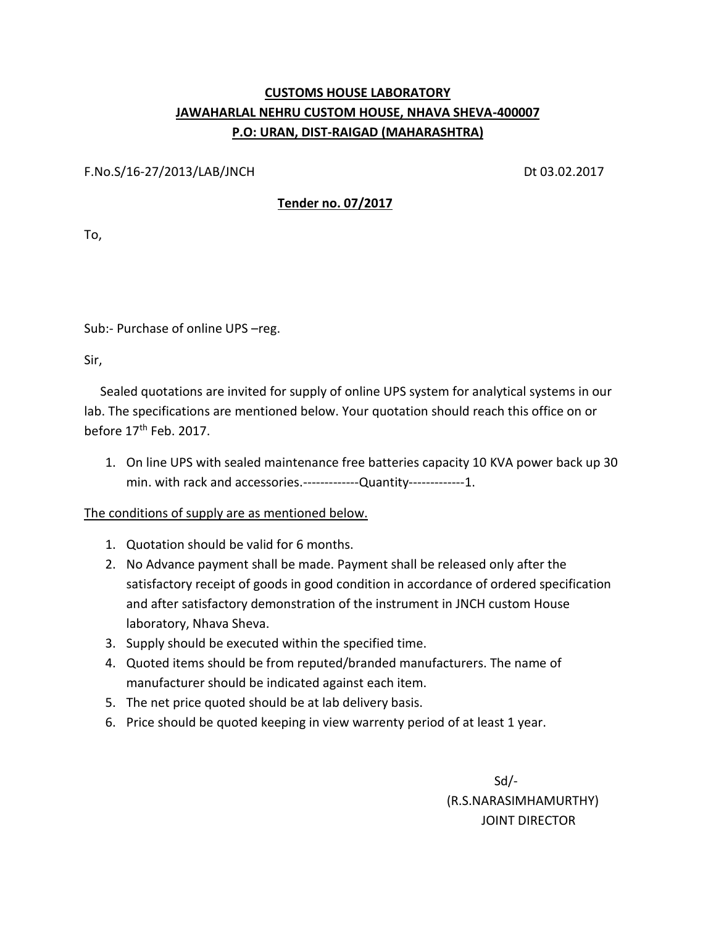## **CUSTOMS HOUSE LABORATORY JAWAHARLAL NEHRU CUSTOM HOUSE, NHAVA SHEVA-400007 P.O: URAN, DIST-RAIGAD (MAHARASHTRA)**

F.No.S/16-27/2013/LAB/JNCH Dt 03.02.2017

## **Tender no. 07/2017**

To,

Sub:- Purchase of online UPS –reg.

Sir,

 Sealed quotations are invited for supply of online UPS system for analytical systems in our lab. The specifications are mentioned below. Your quotation should reach this office on or before 17<sup>th</sup> Feb. 2017.

1. On line UPS with sealed maintenance free batteries capacity 10 KVA power back up 30 min. with rack and accessories.-------------Quantity-------------1.

The conditions of supply are as mentioned below.

- 1. Quotation should be valid for 6 months.
- 2. No Advance payment shall be made. Payment shall be released only after the satisfactory receipt of goods in good condition in accordance of ordered specification and after satisfactory demonstration of the instrument in JNCH custom House laboratory, Nhava Sheva.
- 3. Supply should be executed within the specified time.
- 4. Quoted items should be from reputed/branded manufacturers. The name of manufacturer should be indicated against each item.
- 5. The net price quoted should be at lab delivery basis.
- 6. Price should be quoted keeping in view warrenty period of at least 1 year.

 Sd/- (R.S.NARASIMHAMURTHY) JOINT DIRECTOR